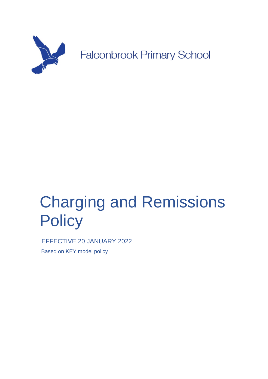

# Charging and Remissions **Policy**

EFFECTIVE 20 JANUARY 2022 Based on KEY model policy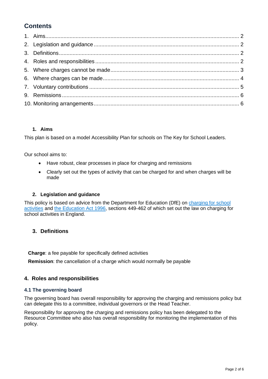# **Contents**

# **1. Aims**

<span id="page-1-0"></span>This plan is based on a model Accessibility Plan for schools on The Key for School Leaders.

Our school aims to:

- Have robust, clear processes in place for charging and remissions
- Clearly set out the types of activity that can be charged for and when charges will be made

# **2. Legislation and guidance**

<span id="page-1-1"></span>This policy is based on advice from the Department for Education (DfE) on charging for school [activities](https://www.gov.uk/government/publications/charging-for-school-activities) and [the Education Act 1996,](http://www.legislation.gov.uk/ukpga/1996/56/part/VI/chapter/III) sections 449-462 of which set out the law on charging for school activities in England.

# <span id="page-1-2"></span>**3. Definitions**

**Charge**: a fee payable for specifically defined activities

**Remission**: the cancellation of a charge which would normally be payable

# <span id="page-1-3"></span>**4. Roles and responsibilities**

#### **4.1 The governing board**

The governing board has overall responsibility for approving the charging and remissions policy but can delegate this to a committee, individual governors or the Head Teacher.

Responsibility for approving the charging and remissions policy has been delegated to the Resource Committee who also has overall responsibility for monitoring the implementation of this policy.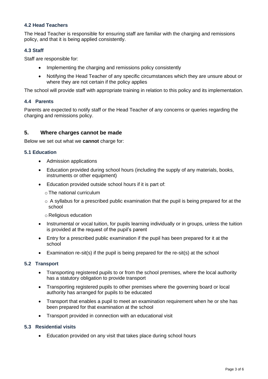## **4.2 Head Teachers**

The Head Teacher is responsible for ensuring staff are familiar with the charging and remissions policy, and that it is being applied consistently.

#### **4.3 Staff**

Staff are responsible for:

- Implementing the charging and remissions policy consistently
- Notifying the Head Teacher of any specific circumstances which they are unsure about or where they are not certain if the policy applies

The school will provide staff with appropriate training in relation to this policy and its implementation.

#### **4.4 Parents**

Parents are expected to notify staff or the Head Teacher of any concerns or queries regarding the charging and remissions policy.

#### <span id="page-2-0"></span>**5. Where charges cannot be made**

Below we set out what we **cannot** charge for:

#### **5.1 Education**

- Admission applications
- Education provided during school hours (including the supply of any materials, books, instruments or other equipment)
- Education provided outside school hours if it is part of:
	- o The national curriculum
	- $\circ$  A syllabus for a prescribed public examination that the pupil is being prepared for at the school
	- o Religious education
- Instrumental or vocal tuition, for pupils learning individually or in groups, unless the tuition is provided at the request of the pupil's parent
- Entry for a prescribed public examination if the pupil has been prepared for it at the school
- Examination re-sit(s) if the pupil is being prepared for the re-sit(s) at the school

#### **5.2 Transport**

- Transporting registered pupils to or from the school premises, where the local authority has a statutory obligation to provide transport
- Transporting registered pupils to other premises where the governing board or local authority has arranged for pupils to be educated
- Transport that enables a pupil to meet an examination requirement when he or she has been prepared for that examination at the school
- Transport provided in connection with an educational visit

#### **5.3 Residential visits**

• Education provided on any visit that takes place during school hours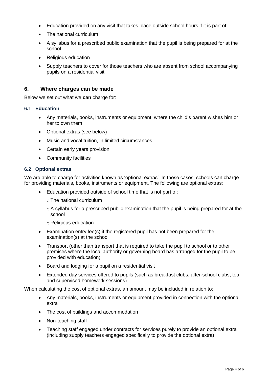- Education provided on any visit that takes place outside school hours if it is part of:
- The national curriculum
- A syllabus for a prescribed public examination that the pupil is being prepared for at the school
- Religious education
- Supply teachers to cover for those teachers who are absent from school accompanying pupils on a residential visit

#### <span id="page-3-0"></span>**6. Where charges can be made**

Below we set out what we **can** charge for:

#### **6.1 Education**

- Any materials, books, instruments or equipment, where the child's parent wishes him or her to own them
- Optional extras (see below)
- Music and vocal tuition, in limited circumstances
- Certain early years provision
- Community facilities

#### **6.2 Optional extras**

We are able to charge for activities known as 'optional extras'. In these cases, schools can charge for providing materials, books, instruments or equipment. The following are optional extras:

- Education provided outside of school time that is not part of:
	- o The national curriculum
	- o A syllabus for a prescribed public examination that the pupil is being prepared for at the school
	- o Religious education
- Examination entry fee(s) if the registered pupil has not been prepared for the examination(s) at the school
- Transport (other than transport that is required to take the pupil to school or to other premises where the local authority or governing board has arranged for the pupil to be provided with education)
- Board and lodging for a pupil on a residential visit
- Extended day services offered to pupils (such as breakfast clubs, after-school clubs, tea and supervised homework sessions)

When calculating the cost of optional extras, an amount may be included in relation to:

- Any materials, books, instruments or equipment provided in connection with the optional extra
- The cost of buildings and accommodation
- Non-teaching staff
- Teaching staff engaged under contracts for services purely to provide an optional extra (including supply teachers engaged specifically to provide the optional extra)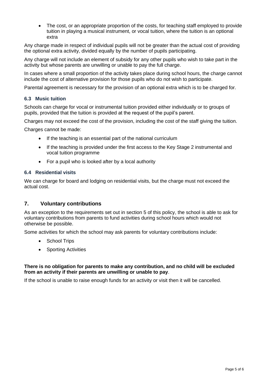• The cost, or an appropriate proportion of the costs, for teaching staff employed to provide tuition in playing a musical instrument, or vocal tuition, where the tuition is an optional extra

Any charge made in respect of individual pupils will not be greater than the actual cost of providing the optional extra activity, divided equally by the number of pupils participating.

Any charge will not include an element of subsidy for any other pupils who wish to take part in the activity but whose parents are unwilling or unable to pay the full charge.

In cases where a small proportion of the activity takes place during school hours, the charge cannot include the cost of alternative provision for those pupils who do not wish to participate.

Parental agreement is necessary for the provision of an optional extra which is to be charged for.

#### **6.3 Music tuition**

Schools can charge for vocal or instrumental tuition provided either individually or to groups of pupils, provided that the tuition is provided at the request of the pupil's parent.

Charges may not exceed the cost of the provision, including the cost of the staff giving the tuition.

Charges cannot be made:

- If the teaching is an essential part of the national curriculum
- If the teaching is provided under the first access to the Key Stage 2 instrumental and vocal tuition programme
- For a pupil who is looked after by a local authority

#### **6.4 Residential visits**

We can charge for board and lodging on residential visits, but the charge must not exceed the actual cost.

#### <span id="page-4-0"></span>**7. Voluntary contributions**

As an exception to the requirements set out in section 5 of this policy, the school is able to ask for voluntary contributions from parents to fund activities during school hours which would not otherwise be possible.

Some activities for which the school may ask parents for voluntary contributions include:

- School Trips
- Sporting Activities

#### **There is no obligation for parents to make any contribution, and no child will be excluded from an activity if their parents are unwilling or unable to pay**.

If the school is unable to raise enough funds for an activity or visit then it will be cancelled.